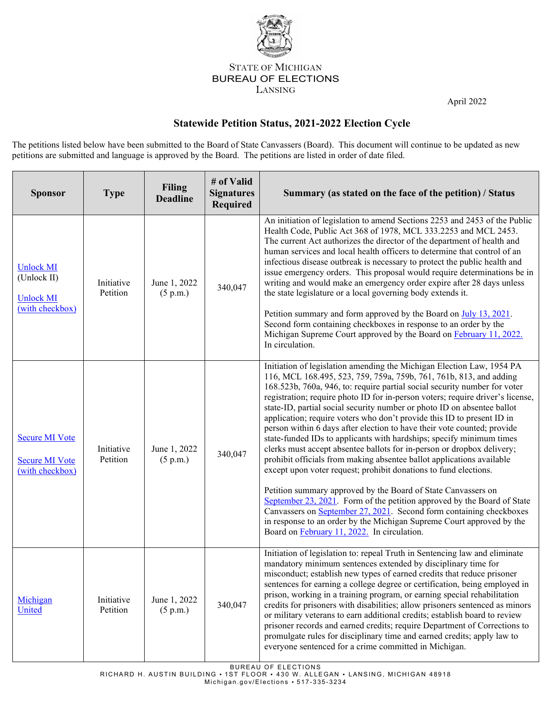

## STATE OF MICHIGAN BUREAU OF ELECTIONS LANSING

April 2022

## **Statewide Petition Status, 2021-2022 Election Cycle**

The petitions listed below have been submitted to the Board of State Canvassers (Board). This document will continue to be updated as new petitions are submitted and language is approved by the Board. The petitions are listed in order of date filed.

| <b>Sponsor</b>                                                         | <b>Type</b>            | <b>Filing</b><br><b>Deadline</b> | # of Valid<br><b>Signatures</b><br><b>Required</b> | Summary (as stated on the face of the petition) / Status                                                                                                                                                                                                                                                                                                                                                                                                                                                                                                                                                                                                                                                                                                                                                                                                                                                                                                                                                                                                                                                                                                                                     |
|------------------------------------------------------------------------|------------------------|----------------------------------|----------------------------------------------------|----------------------------------------------------------------------------------------------------------------------------------------------------------------------------------------------------------------------------------------------------------------------------------------------------------------------------------------------------------------------------------------------------------------------------------------------------------------------------------------------------------------------------------------------------------------------------------------------------------------------------------------------------------------------------------------------------------------------------------------------------------------------------------------------------------------------------------------------------------------------------------------------------------------------------------------------------------------------------------------------------------------------------------------------------------------------------------------------------------------------------------------------------------------------------------------------|
| <b>Unlock MI</b><br>(Unlock II)<br><b>Unlock MI</b><br>(with checkbox) | Initiative<br>Petition | June 1, 2022<br>(5 p.m.)         | 340,047                                            | An initiation of legislation to amend Sections 2253 and 2453 of the Public<br>Health Code, Public Act 368 of 1978, MCL 333.2253 and MCL 2453.<br>The current Act authorizes the director of the department of health and<br>human services and local health officers to determine that control of an<br>infectious disease outbreak is necessary to protect the public health and<br>issue emergency orders. This proposal would require determinations be in<br>writing and would make an emergency order expire after 28 days unless<br>the state legislature or a local governing body extends it.<br>Petition summary and form approved by the Board on July 13, 2021.<br>Second form containing checkboxes in response to an order by the                                                                                                                                                                                                                                                                                                                                                                                                                                               |
|                                                                        |                        |                                  |                                                    | Michigan Supreme Court approved by the Board on February 11, 2022.<br>In circulation.                                                                                                                                                                                                                                                                                                                                                                                                                                                                                                                                                                                                                                                                                                                                                                                                                                                                                                                                                                                                                                                                                                        |
| <b>Secure MI Vote</b><br><b>Secure MI Vote</b><br>(with checkbox)      | Initiative<br>Petition | June 1, 2022<br>(5 p.m.)         | 340,047                                            | Initiation of legislation amending the Michigan Election Law, 1954 PA<br>116, MCL 168.495, 523, 759, 759a, 759b, 761, 761b, 813, and adding<br>168.523b, 760a, 946, to: require partial social security number for voter<br>registration; require photo ID for in-person voters; require driver's license,<br>state-ID, partial social security number or photo ID on absentee ballot<br>application; require voters who don't provide this ID to present ID in<br>person within 6 days after election to have their vote counted; provide<br>state-funded IDs to applicants with hardships; specify minimum times<br>clerks must accept absentee ballots for in-person or dropbox delivery;<br>prohibit officials from making absentee ballot applications available<br>except upon voter request; prohibit donations to fund elections.<br>Petition summary approved by the Board of State Canvassers on<br>September 23, 2021. Form of the petition approved by the Board of State<br>Canvassers on September 27, 2021. Second form containing checkboxes<br>in response to an order by the Michigan Supreme Court approved by the<br>Board on <b>February 11</b> , 2022. In circulation. |
| Michigan<br>United                                                     | Initiative<br>Petition | June 1, 2022<br>(5 p.m.)         | 340,047                                            | Initiation of legislation to: repeal Truth in Sentencing law and eliminate<br>mandatory minimum sentences extended by disciplinary time for<br>misconduct; establish new types of earned credits that reduce prisoner<br>sentences for earning a college degree or certification, being employed in<br>prison, working in a training program, or earning special rehabilitation<br>credits for prisoners with disabilities; allow prisoners sentenced as minors<br>or military veterans to earn additional credits; establish board to review<br>prisoner records and earned credits; require Department of Corrections to<br>promulgate rules for disciplinary time and earned credits; apply law to<br>everyone sentenced for a crime committed in Michigan.                                                                                                                                                                                                                                                                                                                                                                                                                               |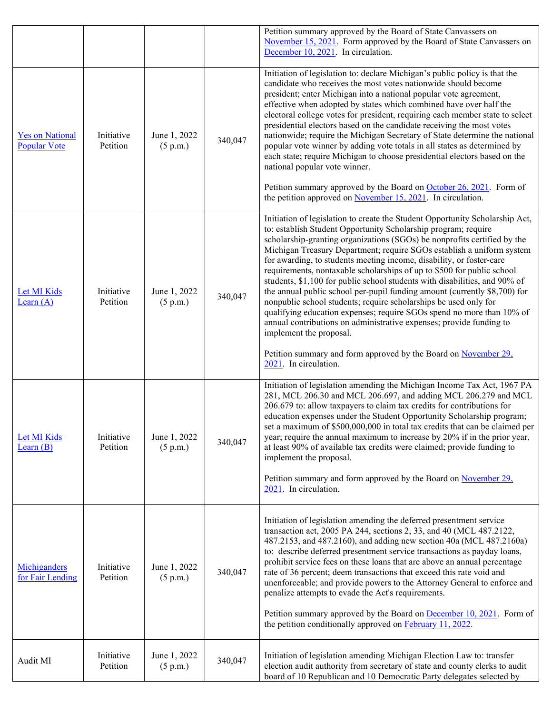|                                               |                        |                          |         | Petition summary approved by the Board of State Canvassers on<br>November 15, 2021. Form approved by the Board of State Canvassers on<br>December 10, 2021. In circulation.                                                                                                                                                                                                                                                                                                                                                                                                                                                                                                                                                                                                                                                                                                                                                                                 |
|-----------------------------------------------|------------------------|--------------------------|---------|-------------------------------------------------------------------------------------------------------------------------------------------------------------------------------------------------------------------------------------------------------------------------------------------------------------------------------------------------------------------------------------------------------------------------------------------------------------------------------------------------------------------------------------------------------------------------------------------------------------------------------------------------------------------------------------------------------------------------------------------------------------------------------------------------------------------------------------------------------------------------------------------------------------------------------------------------------------|
| <b>Yes on National</b><br><b>Popular Vote</b> | Initiative<br>Petition | June 1, 2022<br>(5 p.m.) | 340,047 | Initiation of legislation to: declare Michigan's public policy is that the<br>candidate who receives the most votes nationwide should become<br>president; enter Michigan into a national popular vote agreement,<br>effective when adopted by states which combined have over half the<br>electoral college votes for president, requiring each member state to select<br>presidential electors based on the candidate receiving the most votes<br>nationwide; require the Michigan Secretary of State determine the national<br>popular vote winner by adding vote totals in all states as determined by<br>each state; require Michigan to choose presidential electors based on the<br>national popular vote winner.<br>Petition summary approved by the Board on October 26, 2021. Form of<br>the petition approved on November $15, 2021$ . In circulation.                                                                                           |
| Let MI Kids<br>Learn $(A)$                    | Initiative<br>Petition | June 1, 2022<br>(5 p.m.) | 340,047 | Initiation of legislation to create the Student Opportunity Scholarship Act,<br>to: establish Student Opportunity Scholarship program; require<br>scholarship-granting organizations (SGOs) be nonprofits certified by the<br>Michigan Treasury Department; require SGOs establish a uniform system<br>for awarding, to students meeting income, disability, or foster-care<br>requirements, nontaxable scholarships of up to \$500 for public school<br>students, \$1,100 for public school students with disabilities, and 90% of<br>the annual public school per-pupil funding amount (currently \$8,700) for<br>nonpublic school students; require scholarships be used only for<br>qualifying education expenses; require SGOs spend no more than 10% of<br>annual contributions on administrative expenses; provide funding to<br>implement the proposal.<br>Petition summary and form approved by the Board on November 29,<br>2021. In circulation. |
| Let MI Kids<br>Learn $(B)$                    | Initiative<br>Petition | June 1, 2022<br>(5 p.m.) | 340,047 | Initiation of legislation amending the Michigan Income Tax Act, 1967 PA<br>281, MCL 206.30 and MCL 206.697, and adding MCL 206.279 and MCL<br>206.679 to: allow taxpayers to claim tax credits for contributions for<br>education expenses under the Student Opportunity Scholarship program;<br>set a maximum of \$500,000,000 in total tax credits that can be claimed per<br>year; require the annual maximum to increase by 20% if in the prior year,<br>at least 90% of available tax credits were claimed; provide funding to<br>implement the proposal.<br>Petition summary and form approved by the Board on November 29,<br>$2021$ . In circulation.                                                                                                                                                                                                                                                                                               |
| Michiganders<br>for Fair Lending              | Initiative<br>Petition | June 1, 2022<br>(5 p.m.) | 340,047 | Initiation of legislation amending the deferred presentment service<br>transaction act, 2005 PA 244, sections 2, 33, and 40 (MCL 487.2122,<br>487.2153, and 487.2160), and adding new section 40a (MCL 487.2160a)<br>to: describe deferred presentment service transactions as payday loans,<br>prohibit service fees on these loans that are above an annual percentage<br>rate of 36 percent; deem transactions that exceed this rate void and<br>unenforceable; and provide powers to the Attorney General to enforce and<br>penalize attempts to evade the Act's requirements.<br>Petition summary approved by the Board on December 10, 2021. Form of<br>the petition conditionally approved on <b>February 11, 2022</b> .                                                                                                                                                                                                                             |
| Audit MI                                      | Initiative<br>Petition | June 1, 2022<br>(5 p.m.) | 340,047 | Initiation of legislation amending Michigan Election Law to: transfer<br>election audit authority from secretary of state and county clerks to audit<br>board of 10 Republican and 10 Democratic Party delegates selected by                                                                                                                                                                                                                                                                                                                                                                                                                                                                                                                                                                                                                                                                                                                                |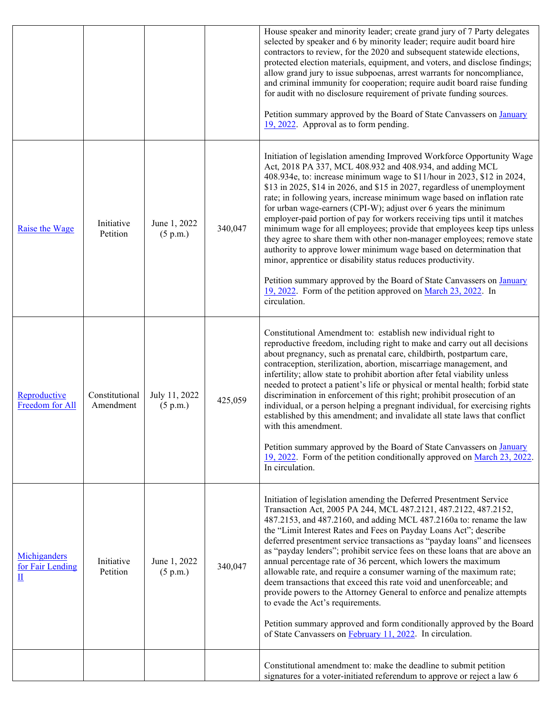|                                                               |                             |                           |         | House speaker and minority leader; create grand jury of 7 Party delegates<br>selected by speaker and 6 by minority leader; require audit board hire<br>contractors to review, for the 2020 and subsequent statewide elections,<br>protected election materials, equipment, and voters, and disclose findings;<br>allow grand jury to issue subpoenas, arrest warrants for noncompliance,<br>and criminal immunity for cooperation; require audit board raise funding<br>for audit with no disclosure requirement of private funding sources.<br>Petition summary approved by the Board of State Canvassers on January<br>19, 2022. Approval as to form pending.                                                                                                                                                                                                                                                                                                             |
|---------------------------------------------------------------|-----------------------------|---------------------------|---------|-----------------------------------------------------------------------------------------------------------------------------------------------------------------------------------------------------------------------------------------------------------------------------------------------------------------------------------------------------------------------------------------------------------------------------------------------------------------------------------------------------------------------------------------------------------------------------------------------------------------------------------------------------------------------------------------------------------------------------------------------------------------------------------------------------------------------------------------------------------------------------------------------------------------------------------------------------------------------------|
| Raise the Wage                                                | Initiative<br>Petition      | June 1, 2022<br>(5 p.m.)  | 340,047 | Initiation of legislation amending Improved Workforce Opportunity Wage<br>Act, 2018 PA 337, MCL 408.932 and 408.934, and adding MCL<br>408.934e, to: increase minimum wage to \$11/hour in 2023, \$12 in 2024,<br>\$13 in 2025, \$14 in 2026, and \$15 in 2027, regardless of unemployment<br>rate; in following years, increase minimum wage based on inflation rate<br>for urban wage-earners (CPI-W); adjust over 6 years the minimum<br>employer-paid portion of pay for workers receiving tips until it matches<br>minimum wage for all employees; provide that employees keep tips unless<br>they agree to share them with other non-manager employees; remove state<br>authority to approve lower minimum wage based on determination that<br>minor, apprentice or disability status reduces productivity.<br>Petition summary approved by the Board of State Canvassers on January<br>19, 2022. Form of the petition approved on March 23, 2022. In<br>circulation. |
| Reproductive<br>Freedom for All                               | Constitutional<br>Amendment | July 11, 2022<br>(5 p.m.) | 425,059 | Constitutional Amendment to: establish new individual right to<br>reproductive freedom, including right to make and carry out all decisions<br>about pregnancy, such as prenatal care, childbirth, postpartum care,<br>contraception, sterilization, abortion, miscarriage management, and<br>infertility; allow state to prohibit abortion after fetal viability unless<br>needed to protect a patient's life or physical or mental health; forbid state<br>discrimination in enforcement of this right; prohibit prosecution of an<br>individual, or a person helping a pregnant individual, for exercising rights<br>established by this amendment; and invalidate all state laws that conflict<br>with this amendment.<br>Petition summary approved by the Board of State Canvassers on January<br>19, 2022. Form of the petition conditionally approved on March 23, 2022.<br>In circulation.                                                                          |
| Michiganders<br>for Fair Lending<br>$\underline{\mathbf{II}}$ | Initiative<br>Petition      | June 1, 2022<br>(5 p.m.)  | 340,047 | Initiation of legislation amending the Deferred Presentment Service<br>Transaction Act, 2005 PA 244, MCL 487.2121, 487.2122, 487.2152,<br>487.2153, and 487.2160, and adding MCL 487.2160a to: rename the law<br>the "Limit Interest Rates and Fees on Payday Loans Act"; describe<br>deferred presentment service transactions as "payday loans" and licensees<br>as "payday lenders"; prohibit service fees on these loans that are above an<br>annual percentage rate of 36 percent, which lowers the maximum<br>allowable rate, and require a consumer warning of the maximum rate;<br>deem transactions that exceed this rate void and unenforceable; and<br>provide powers to the Attorney General to enforce and penalize attempts<br>to evade the Act's requirements.<br>Petition summary approved and form conditionally approved by the Board<br>of State Canvassers on February 11, 2022. In circulation.                                                        |
|                                                               |                             |                           |         | Constitutional amendment to: make the deadline to submit petition<br>signatures for a voter-initiated referendum to approve or reject a law 6                                                                                                                                                                                                                                                                                                                                                                                                                                                                                                                                                                                                                                                                                                                                                                                                                               |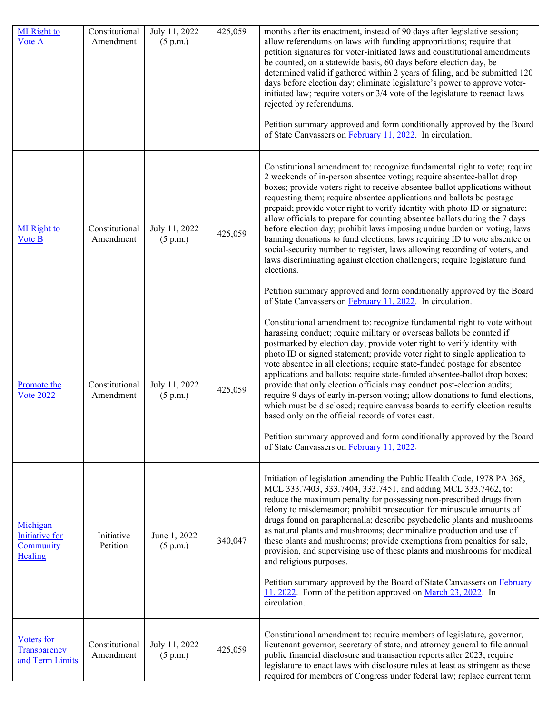| <b>MI</b> Right to<br>Vote A                              | Constitutional<br>Amendment | July 11, 2022<br>(5 p.m.) | 425,059 | months after its enactment, instead of 90 days after legislative session;<br>allow referendums on laws with funding appropriations; require that<br>petition signatures for voter-initiated laws and constitutional amendments<br>be counted, on a statewide basis, 60 days before election day, be<br>determined valid if gathered within 2 years of filing, and be submitted 120<br>days before election day; eliminate legislature's power to approve voter-<br>initiated law; require voters or 3/4 vote of the legislature to reenact laws<br>rejected by referendums.<br>Petition summary approved and form conditionally approved by the Board<br>of State Canvassers on February 11, 2022. In circulation.                                                                                                                                                                                                                                 |
|-----------------------------------------------------------|-----------------------------|---------------------------|---------|----------------------------------------------------------------------------------------------------------------------------------------------------------------------------------------------------------------------------------------------------------------------------------------------------------------------------------------------------------------------------------------------------------------------------------------------------------------------------------------------------------------------------------------------------------------------------------------------------------------------------------------------------------------------------------------------------------------------------------------------------------------------------------------------------------------------------------------------------------------------------------------------------------------------------------------------------|
| <b>MI</b> Right to<br>Vote B                              | Constitutional<br>Amendment | July 11, 2022<br>(5 p.m.) | 425,059 | Constitutional amendment to: recognize fundamental right to vote; require<br>2 weekends of in-person absentee voting; require absentee-ballot drop<br>boxes; provide voters right to receive absentee-ballot applications without<br>requesting them; require absentee applications and ballots be postage<br>prepaid; provide voter right to verify identity with photo ID or signature;<br>allow officials to prepare for counting absentee ballots during the 7 days<br>before election day; prohibit laws imposing undue burden on voting, laws<br>banning donations to fund elections, laws requiring ID to vote absentee or<br>social-security number to register, laws allowing recording of voters, and<br>laws discriminating against election challengers; require legislature fund<br>elections.<br>Petition summary approved and form conditionally approved by the Board<br>of State Canvassers on February 11, 2022. In circulation. |
| Promote the<br><b>Vote 2022</b>                           | Constitutional<br>Amendment | July 11, 2022<br>(5 p.m.) | 425,059 | Constitutional amendment to: recognize fundamental right to vote without<br>harassing conduct; require military or overseas ballots be counted if<br>postmarked by election day; provide voter right to verify identity with<br>photo ID or signed statement; provide voter right to single application to<br>vote absentee in all elections; require state-funded postage for absentee<br>applications and ballots; require state-funded absentee-ballot drop boxes;<br>provide that only election officials may conduct post-election audits;<br>require 9 days of early in-person voting; allow donations to fund elections,<br>which must be disclosed; require canvass boards to certify election results<br>based only on the official records of votes cast.<br>Petition summary approved and form conditionally approved by the Board<br>of State Canvassers on February 11, 2022.                                                         |
| Michigan<br><b>Initiative for</b><br>Community<br>Healing | Initiative<br>Petition      | June 1, 2022<br>(5 p.m.)  | 340,047 | Initiation of legislation amending the Public Health Code, 1978 PA 368,<br>MCL 333.7403, 333.7404, 333.7451, and adding MCL 333.7462, to:<br>reduce the maximum penalty for possessing non-prescribed drugs from<br>felony to misdemeanor; prohibit prosecution for minuscule amounts of<br>drugs found on paraphernalia; describe psychedelic plants and mushrooms<br>as natural plants and mushrooms; decriminalize production and use of<br>these plants and mushrooms; provide exemptions from penalties for sale,<br>provision, and supervising use of these plants and mushrooms for medical<br>and religious purposes.<br>Petition summary approved by the Board of State Canvassers on February<br>11, 2022. Form of the petition approved on March 23, 2022. In<br>circulation.                                                                                                                                                           |
| Voters for<br>Transparency<br>and Term Limits             | Constitutional<br>Amendment | July 11, 2022<br>(5 p.m.) | 425,059 | Constitutional amendment to: require members of legislature, governor,<br>lieutenant governor, secretary of state, and attorney general to file annual<br>public financial disclosure and transaction reports after 2023; require<br>legislature to enact laws with disclosure rules at least as stringent as those<br>required for members of Congress under federal law; replace current term                                                                                                                                                                                                                                                                                                                                                                                                                                                                                                                                                    |